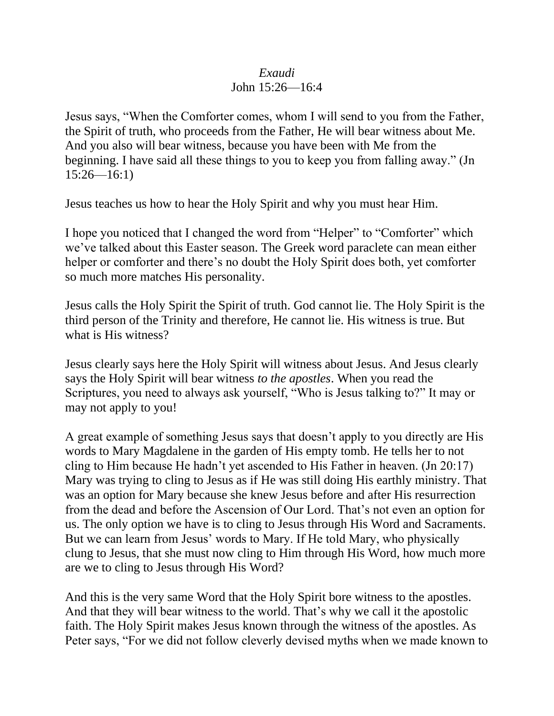## *Exaudi*

## John 15:26—16:4

Jesus says, "When the Comforter comes, whom I will send to you from the Father, the Spirit of truth, who proceeds from the Father, He will bear witness about Me. And you also will bear witness, because you have been with Me from the beginning. I have said all these things to you to keep you from falling away." (Jn  $15:26 - 16:1$ 

Jesus teaches us how to hear the Holy Spirit and why you must hear Him.

I hope you noticed that I changed the word from "Helper" to "Comforter" which we've talked about this Easter season. The Greek word paraclete can mean either helper or comforter and there's no doubt the Holy Spirit does both, yet comforter so much more matches His personality.

Jesus calls the Holy Spirit the Spirit of truth. God cannot lie. The Holy Spirit is the third person of the Trinity and therefore, He cannot lie. His witness is true. But what is His witness?

Jesus clearly says here the Holy Spirit will witness about Jesus. And Jesus clearly says the Holy Spirit will bear witness *to the apostles*. When you read the Scriptures, you need to always ask yourself, "Who is Jesus talking to?" It may or may not apply to you!

A great example of something Jesus says that doesn't apply to you directly are His words to Mary Magdalene in the garden of His empty tomb. He tells her to not cling to Him because He hadn't yet ascended to His Father in heaven. (Jn 20:17) Mary was trying to cling to Jesus as if He was still doing His earthly ministry. That was an option for Mary because she knew Jesus before and after His resurrection from the dead and before the Ascension of Our Lord. That's not even an option for us. The only option we have is to cling to Jesus through His Word and Sacraments. But we can learn from Jesus' words to Mary. If He told Mary, who physically clung to Jesus, that she must now cling to Him through His Word, how much more are we to cling to Jesus through His Word?

And this is the very same Word that the Holy Spirit bore witness to the apostles. And that they will bear witness to the world. That's why we call it the apostolic faith. The Holy Spirit makes Jesus known through the witness of the apostles. As Peter says, "For we did not follow cleverly devised myths when we made known to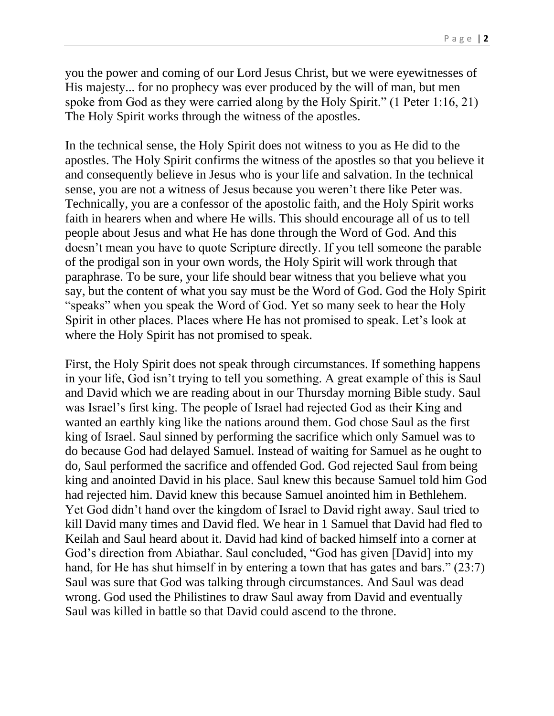you the power and coming of our Lord Jesus Christ, but we were eyewitnesses of His majesty... for no prophecy was ever produced by the will of man, but men spoke from God as they were carried along by the Holy Spirit." (1 Peter 1:16, 21) The Holy Spirit works through the witness of the apostles.

In the technical sense, the Holy Spirit does not witness to you as He did to the apostles. The Holy Spirit confirms the witness of the apostles so that you believe it and consequently believe in Jesus who is your life and salvation. In the technical sense, you are not a witness of Jesus because you weren't there like Peter was. Technically, you are a confessor of the apostolic faith, and the Holy Spirit works faith in hearers when and where He wills. This should encourage all of us to tell people about Jesus and what He has done through the Word of God. And this doesn't mean you have to quote Scripture directly. If you tell someone the parable of the prodigal son in your own words, the Holy Spirit will work through that paraphrase. To be sure, your life should bear witness that you believe what you say, but the content of what you say must be the Word of God. God the Holy Spirit "speaks" when you speak the Word of God. Yet so many seek to hear the Holy Spirit in other places. Places where He has not promised to speak. Let's look at where the Holy Spirit has not promised to speak.

First, the Holy Spirit does not speak through circumstances. If something happens in your life, God isn't trying to tell you something. A great example of this is Saul and David which we are reading about in our Thursday morning Bible study. Saul was Israel's first king. The people of Israel had rejected God as their King and wanted an earthly king like the nations around them. God chose Saul as the first king of Israel. Saul sinned by performing the sacrifice which only Samuel was to do because God had delayed Samuel. Instead of waiting for Samuel as he ought to do, Saul performed the sacrifice and offended God. God rejected Saul from being king and anointed David in his place. Saul knew this because Samuel told him God had rejected him. David knew this because Samuel anointed him in Bethlehem. Yet God didn't hand over the kingdom of Israel to David right away. Saul tried to kill David many times and David fled. We hear in 1 Samuel that David had fled to Keilah and Saul heard about it. David had kind of backed himself into a corner at God's direction from Abiathar. Saul concluded, "God has given [David] into my hand, for He has shut himself in by entering a town that has gates and bars." (23:7) Saul was sure that God was talking through circumstances. And Saul was dead wrong. God used the Philistines to draw Saul away from David and eventually Saul was killed in battle so that David could ascend to the throne.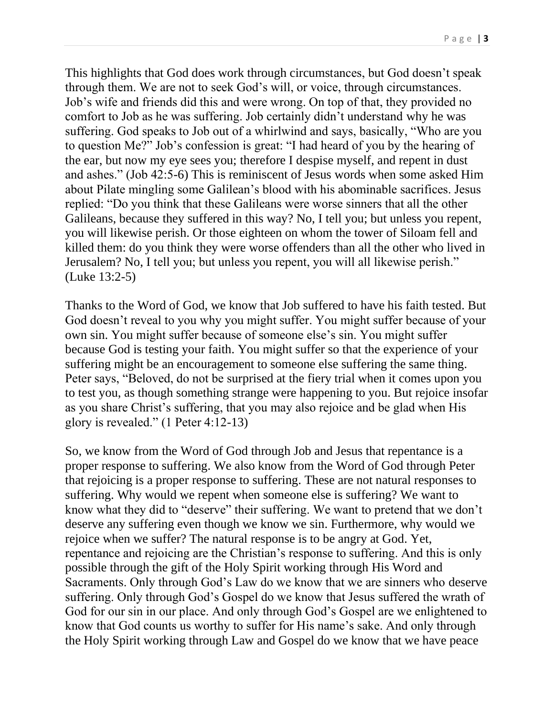P a g e | **3**

This highlights that God does work through circumstances, but God doesn't speak through them. We are not to seek God's will, or voice, through circumstances. Job's wife and friends did this and were wrong. On top of that, they provided no comfort to Job as he was suffering. Job certainly didn't understand why he was suffering. God speaks to Job out of a whirlwind and says, basically, "Who are you to question Me?" Job's confession is great: "I had heard of you by the hearing of the ear, but now my eye sees you; therefore I despise myself, and repent in dust and ashes." (Job 42:5-6) This is reminiscent of Jesus words when some asked Him about Pilate mingling some Galilean's blood with his abominable sacrifices. Jesus replied: "Do you think that these Galileans were worse sinners that all the other Galileans, because they suffered in this way? No, I tell you; but unless you repent, you will likewise perish. Or those eighteen on whom the tower of Siloam fell and killed them: do you think they were worse offenders than all the other who lived in Jerusalem? No, I tell you; but unless you repent, you will all likewise perish." (Luke 13:2-5)

Thanks to the Word of God, we know that Job suffered to have his faith tested. But God doesn't reveal to you why you might suffer. You might suffer because of your own sin. You might suffer because of someone else's sin. You might suffer because God is testing your faith. You might suffer so that the experience of your suffering might be an encouragement to someone else suffering the same thing. Peter says, "Beloved, do not be surprised at the fiery trial when it comes upon you to test you, as though something strange were happening to you. But rejoice insofar as you share Christ's suffering, that you may also rejoice and be glad when His glory is revealed." (1 Peter 4:12-13)

So, we know from the Word of God through Job and Jesus that repentance is a proper response to suffering. We also know from the Word of God through Peter that rejoicing is a proper response to suffering. These are not natural responses to suffering. Why would we repent when someone else is suffering? We want to know what they did to "deserve" their suffering. We want to pretend that we don't deserve any suffering even though we know we sin. Furthermore, why would we rejoice when we suffer? The natural response is to be angry at God. Yet, repentance and rejoicing are the Christian's response to suffering. And this is only possible through the gift of the Holy Spirit working through His Word and Sacraments. Only through God's Law do we know that we are sinners who deserve suffering. Only through God's Gospel do we know that Jesus suffered the wrath of God for our sin in our place. And only through God's Gospel are we enlightened to know that God counts us worthy to suffer for His name's sake. And only through the Holy Spirit working through Law and Gospel do we know that we have peace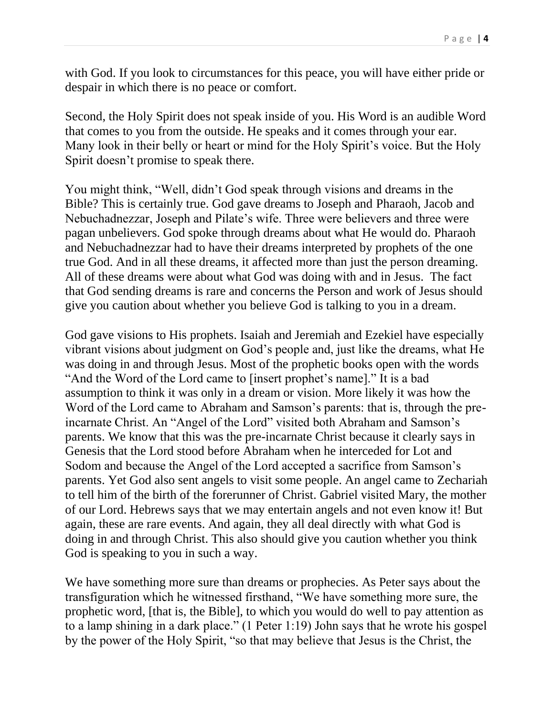with God. If you look to circumstances for this peace, you will have either pride or despair in which there is no peace or comfort.

Second, the Holy Spirit does not speak inside of you. His Word is an audible Word that comes to you from the outside. He speaks and it comes through your ear. Many look in their belly or heart or mind for the Holy Spirit's voice. But the Holy Spirit doesn't promise to speak there.

You might think, "Well, didn't God speak through visions and dreams in the Bible? This is certainly true. God gave dreams to Joseph and Pharaoh, Jacob and Nebuchadnezzar, Joseph and Pilate's wife. Three were believers and three were pagan unbelievers. God spoke through dreams about what He would do. Pharaoh and Nebuchadnezzar had to have their dreams interpreted by prophets of the one true God. And in all these dreams, it affected more than just the person dreaming. All of these dreams were about what God was doing with and in Jesus. The fact that God sending dreams is rare and concerns the Person and work of Jesus should give you caution about whether you believe God is talking to you in a dream.

God gave visions to His prophets. Isaiah and Jeremiah and Ezekiel have especially vibrant visions about judgment on God's people and, just like the dreams, what He was doing in and through Jesus. Most of the prophetic books open with the words "And the Word of the Lord came to [insert prophet's name]." It is a bad assumption to think it was only in a dream or vision. More likely it was how the Word of the Lord came to Abraham and Samson's parents: that is, through the preincarnate Christ. An "Angel of the Lord" visited both Abraham and Samson's parents. We know that this was the pre-incarnate Christ because it clearly says in Genesis that the Lord stood before Abraham when he interceded for Lot and Sodom and because the Angel of the Lord accepted a sacrifice from Samson's parents. Yet God also sent angels to visit some people. An angel came to Zechariah to tell him of the birth of the forerunner of Christ. Gabriel visited Mary, the mother of our Lord. Hebrews says that we may entertain angels and not even know it! But again, these are rare events. And again, they all deal directly with what God is doing in and through Christ. This also should give you caution whether you think God is speaking to you in such a way.

We have something more sure than dreams or prophecies. As Peter says about the transfiguration which he witnessed firsthand, "We have something more sure, the prophetic word, [that is, the Bible], to which you would do well to pay attention as to a lamp shining in a dark place." (1 Peter 1:19) John says that he wrote his gospel by the power of the Holy Spirit, "so that may believe that Jesus is the Christ, the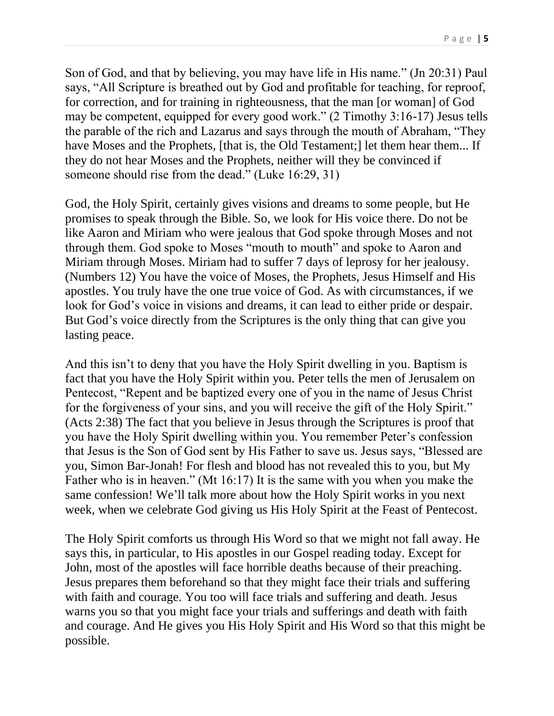Son of God, and that by believing, you may have life in His name." (Jn 20:31) Paul says, "All Scripture is breathed out by God and profitable for teaching, for reproof, for correction, and for training in righteousness, that the man [or woman] of God may be competent, equipped for every good work." (2 Timothy 3:16-17) Jesus tells the parable of the rich and Lazarus and says through the mouth of Abraham, "They have Moses and the Prophets, [that is, the Old Testament;] let them hear them... If they do not hear Moses and the Prophets, neither will they be convinced if someone should rise from the dead." (Luke 16:29, 31)

God, the Holy Spirit, certainly gives visions and dreams to some people, but He promises to speak through the Bible. So, we look for His voice there. Do not be like Aaron and Miriam who were jealous that God spoke through Moses and not through them. God spoke to Moses "mouth to mouth" and spoke to Aaron and Miriam through Moses. Miriam had to suffer 7 days of leprosy for her jealousy. (Numbers 12) You have the voice of Moses, the Prophets, Jesus Himself and His apostles. You truly have the one true voice of God. As with circumstances, if we look for God's voice in visions and dreams, it can lead to either pride or despair. But God's voice directly from the Scriptures is the only thing that can give you lasting peace.

And this isn't to deny that you have the Holy Spirit dwelling in you. Baptism is fact that you have the Holy Spirit within you. Peter tells the men of Jerusalem on Pentecost, "Repent and be baptized every one of you in the name of Jesus Christ for the forgiveness of your sins, and you will receive the gift of the Holy Spirit." (Acts 2:38) The fact that you believe in Jesus through the Scriptures is proof that you have the Holy Spirit dwelling within you. You remember Peter's confession that Jesus is the Son of God sent by His Father to save us. Jesus says, "Blessed are you, Simon Bar-Jonah! For flesh and blood has not revealed this to you, but My Father who is in heaven." (Mt 16:17) It is the same with you when you make the same confession! We'll talk more about how the Holy Spirit works in you next week, when we celebrate God giving us His Holy Spirit at the Feast of Pentecost.

The Holy Spirit comforts us through His Word so that we might not fall away. He says this, in particular, to His apostles in our Gospel reading today. Except for John, most of the apostles will face horrible deaths because of their preaching. Jesus prepares them beforehand so that they might face their trials and suffering with faith and courage. You too will face trials and suffering and death. Jesus warns you so that you might face your trials and sufferings and death with faith and courage. And He gives you His Holy Spirit and His Word so that this might be possible.